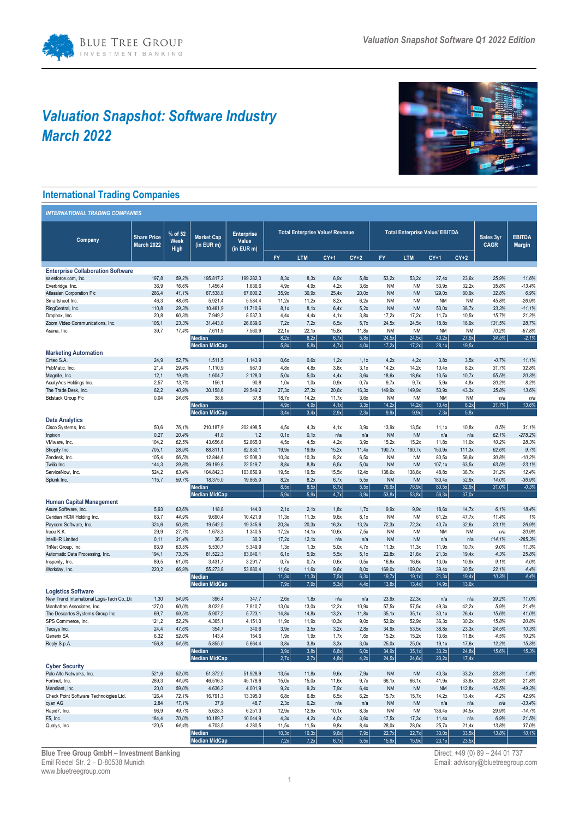# *Valuation Snapshot: Software Industry March 2022*



## **International Trading Companies**

| <b>INTERNATIONAL TRADING COMPANIES</b>                                   |                                         |                         |                                       |                                          |                                        |                |               |                |                                       |                        |                    |                    |                          |                                |
|--------------------------------------------------------------------------|-----------------------------------------|-------------------------|---------------------------------------|------------------------------------------|----------------------------------------|----------------|---------------|----------------|---------------------------------------|------------------------|--------------------|--------------------|--------------------------|--------------------------------|
| Company                                                                  | <b>Share Price</b><br><b>March 2022</b> | % of 52<br>Week<br>High | <b>Market Cap</b><br>(in EUR m)       | <b>Enterprise</b><br>Value<br>(in EUR m) | <b>Total Enterprise Value/ Revenue</b> |                |               |                | <b>Total Enterprise Value/ EBITDA</b> |                        |                    |                    | Sales 3yr<br><b>CAGR</b> | <b>EBITDA</b><br><b>Margin</b> |
|                                                                          |                                         |                         |                                       |                                          | FY                                     | <b>LTM</b>     | $CY+1$        | $CY+2$         | FY                                    | <b>LTM</b>             | $CY+1$             | $CY+2$             |                          |                                |
| <b>Enterprise Collaboration Software</b>                                 |                                         |                         |                                       |                                          |                                        |                |               |                |                                       |                        |                    |                    |                          |                                |
| salesforce.com, inc.                                                     | 197,8                                   | 59,2%                   | 195.817,2                             | 199.282,3                                | 8,3x                                   | 8,3x           | 6,9x          | 5,8x           | 53,2x                                 | 53,2x                  | 27,4x              | 23,6x              | 25,9%                    | 11,6%                          |
| Everbridge, Inc.                                                         | 36,9                                    | 16.6%                   | 1.456,4                               | 1.636,6                                  | 4.9x                                   | 4.9x           | 4.2x          | 3.6x           | <b>NM</b>                             | <b>NM</b>              | 53,9x              | 32,2x              | 35.8%                    | $-13.4%$                       |
| Atlassian Corporation Plc                                                | 266,4                                   | 41,1%                   | 67.538,0                              | 67.800,2                                 | 35,9x                                  | 30.9x          | 25,4x         | 20,0x          | <b>NM</b>                             | <b>NM</b>              | 129,0x             | 80,9x              | 32.8%                    | 6,9%                           |
| Smartsheet Inc.<br>RingCentral, Inc.                                     | 46,3<br>110,8                           | 48,6%<br>29,3%          | 5.921,4<br>10.461,9                   | 5.584,4<br>11.710,6                      | 11,2x<br>8,1x                          | 11,2x<br>8,1x  | 8,2x<br>6,4x  | 6,2x<br>5,2x   | <b>NM</b><br><b>NM</b>                | <b>NM</b><br><b>NM</b> | <b>NM</b><br>53,0x | <b>NM</b><br>38,7x | 45,8%<br>33,3%           | $-26,9%$<br>$-11,1%$           |
| Dropbox, Inc.                                                            | 20,8                                    | 60,3%                   | 7.949,2                               | 8.537,3                                  | 4,4x                                   | 4,4x           | 4,1x          | 3,8x           | 17,2x                                 | 17,2x                  | 11,7x              | 10,5x              | 15,7%                    | 21,2%                          |
| Zoom Video Communications, Inc.                                          | 105,1                                   | 23.3%                   | 31.443,0                              | 26.639,6                                 | 7,2x                                   | 7,2x           | 6,5x          | 5,7x           | 24,5x                                 | 24,5x                  | 18,8x              | 16,9x              | 131,5%                   | 28,7%                          |
| Asana, Inc.                                                              | 39,7                                    | 17,4%                   | 7.611,9                               | 7.560,9                                  | 22,1x                                  | 22,1x          | 15,8x         | 11,8x          | <b>NM</b>                             | <b>NM</b>              | <b>NM</b>          | <b>NM</b>          | 70,2%                    | $-67,8%$                       |
|                                                                          |                                         |                         | <b>Median</b><br><b>Median MidCap</b> |                                          | 8,2x<br>5,8x                           | 8,2x<br>5,8x   | 6,7x<br>4.7x  | 5,8x<br>4.0x   | 24,5x<br>17.2x                        | 24,5x<br>17,2x         | 40,2x<br>28,1x     | 27,9x<br>19,5x     | 34,5%                    | $-2,1%$                        |
| <b>Marketing Automation</b>                                              |                                         |                         |                                       |                                          |                                        |                |               |                |                                       |                        |                    |                    |                          |                                |
| Criteo S.A.                                                              | 24,9                                    | 52,7%                   | 1.511,5                               | 1.143,9                                  | 0.6x                                   | 0,6x           | 1,2x          | 1,1x           | 4,2x                                  | 4,2x                   | 3,8x               | 3,5x               | $-0,7%$                  | 11,1%                          |
| PubMatic, Inc.                                                           | 21,4                                    | 29,4%                   | 1.110,9                               | 987,0                                    | 4.8x                                   | 4.8x           | 3.8x          | 3.1x           | 14,2x                                 | 14,2x                  | 10,4x              | 8,2x               | 31,7%                    | 32,8%                          |
| Magnite, Inc.                                                            | 12,1                                    | 19,4%                   | 1.604,7                               | 2.128,0                                  | 5,0x                                   | 5,0x           | 4,4x          | 3,6x           | 18,6x                                 | 18,6x                  | 13,5x              | 10,7x              | 55,5%                    | 20,3%                          |
| Acuity Ads Holdings Inc.<br>The Trade Desk, Inc.                         | 2,57<br>62,2                            | 13,7%<br>40,9%          | 156,1<br>30.158,6                     | 90,8<br>29.549,2                         | 1,0x<br>27,3x                          | 1,0x<br>27,3x  | 0,9x<br>20,6x | 0,7x<br>16, 3x | 9,7x<br>149,9x                        | 9,7x<br>149,9x         | 5,9x<br>53,9x      | 4,8x<br>43,3x      | 20,2%<br>35,8%           | 8,2%<br>13,6%                  |
| <b>Bidstack Group Plc</b>                                                | 0,04                                    | 24,6%                   | 38,6                                  | 37,8                                     | 18,7x                                  | 14,2x          | 11,7x         | 3,6x           | <b>NM</b>                             | <b>NM</b>              | <b>NM</b>          | <b>NM</b>          | n/a                      | n/a                            |
|                                                                          |                                         |                         | Median                                |                                          | 4,9x                                   | 4,9x           | 4,1x          | 3,3x           | 14,2x                                 | 14,2x                  | 10,4x              | 8.2x               | 31,7%                    | 13,6%                          |
|                                                                          |                                         |                         | <b>Median MidCap</b>                  |                                          | 3.4x                                   | 3.4x           | 2.9x          | 2,3x           | 9,9x                                  | 9.9x                   | 7,3x               | 5,8x               |                          |                                |
| <b>Data Analytics</b>                                                    |                                         |                         |                                       |                                          |                                        |                |               |                |                                       |                        |                    |                    |                          |                                |
| Cisco Systems, Inc.<br>Inpixon                                           | 50,6<br>0,27                            | 76,1%<br>20,4%          | 210.187,9<br>41,0                     | 202.498,5<br>1,2                         | 4,5x<br>0,1x                           | 4.3x<br>0,1x   | 4,1x<br>n/a   | 3.9x<br>n/a    | 13.9x<br><b>NM</b>                    | 13,5x<br><b>NM</b>     | 11, 1x<br>n/a      | 10,8x<br>n/a       | 0.5%<br>62,1%            | 31.1%<br>$-278,2%$             |
| VMware, Inc.                                                             | 104,2                                   | 62,5%                   | 43.656,6                              | 52.665,0                                 | 4,5x                                   | 4,5x           | 4,2x          | 3,9x           | 15,2x                                 | 15,2x                  | 11,8x              | 11,0x              | 10,2%                    | 28,3%                          |
| Shopify Inc.                                                             | 705,1                                   | 28,9%                   | 88.811,1                              | 82.830,1                                 | 19,9x                                  | 19,9x          | 15,2x         | 11,4x          | 190,7x                                | 190,7x                 | 153,9x             | 111, 3x            | 62,6%                    | 9,7%                           |
| Zendesk, Inc.                                                            | 105,4                                   | 56,5%                   | 12.844,6                              | 12.508,3                                 | 10,3x                                  | 10,3x          | 8,2x          | 6,5x           | <b>NM</b>                             | <b>NM</b>              | 80,5x              | 56,6x              | 30.8%                    | $-10,2%$                       |
| Twilio Inc.                                                              | 144,3                                   | 29,8%                   | 26.199,8<br>104.842,3                 | 22.519,7                                 | 8,8x                                   | 8,8x           | 6,5x          | 5,0x<br>12.4x  | <b>NM</b>                             | <b>NM</b>              | 107, 1x<br>48,8x   | 63,5x              | 63,5%<br>31.2%           | $-23,1%$                       |
| ServiceNow, Inc.<br>Splunk Inc.                                          | 524,2<br>115,7                          | 63,4%<br>59,7%          | 18.375,0                              | 103.856,9<br>19.865,0                    | 19,5x<br>8.2x                          | 19,5x<br>8.2x  | 15,5x<br>6,7x | 5,5x           | 138,6x<br><b>NM</b>                   | 138,6x<br><b>NM</b>    | 180,4x             | 38,7x<br>52.9x     | 14,0%                    | 12,4%<br>$-36.9%$              |
|                                                                          |                                         |                         | Median                                |                                          | 8,5x                                   | 8,5x           | 6,7x          | 5,5x           | 76,9x                                 | 76.9x                  | 80,5x              | 52.9x              | 31.0%                    | $-0,3%$                        |
|                                                                          |                                         |                         | <b>Median MidCap</b>                  |                                          | 5,9x                                   | 5,9x           | 4,7x          | 3.9x           | 53,8x                                 | 53,8x                  | 56,3x              | 37,0x              |                          |                                |
| <b>Human Capital Management</b>                                          |                                         |                         |                                       |                                          |                                        |                |               |                |                                       |                        |                    |                    |                          |                                |
| Asure Software, Inc.<br>Ceridian HCM Holding Inc.                        | 5,93<br>63,7                            | 63,6%<br>44,9%          | 118,8<br>9.690,4                      | 144,0<br>10.421,9                        | 2,1x<br>11,3x                          | 2.1x<br>11,3x  | 1,8x<br>9,6x  | 1,7x<br>8,1x   | 9.9x<br><b>NM</b>                     | 9.9x<br><b>NM</b>      | 18,6x<br>61,2x     | 14,7x<br>47,7x     | 6.1%<br>11,4%            | 18,4%<br>1%                    |
| Paycom Software, Inc.                                                    | 324,6                                   | 50,8%                   | 19.542,5                              | 19.345,6                                 | 20,3x                                  | 20,3x          | 16, 3x        | 13,2x          | 72,3x                                 | 72,3x                  | 40,7x              | 32,6x              | 23,1%                    | 26,9%                          |
| freee K.K.                                                               | 29,9                                    | 27,7%                   | 1.678,3                               | 1.340,5                                  | 17,2x                                  | 14, 1x         | 10,6x         | 7,5x           | <b>NM</b>                             | <b>NM</b>              | <b>NM</b>          | <b>NM</b>          | n/a                      | $-20,9%$                       |
| intelliHR Limited                                                        | 0,11                                    | 31,4%                   | 36,3                                  | 30,3                                     | 17,2x                                  | 12,1x          | n/a           | n/a            | <b>NM</b>                             | <b>NM</b>              | n/a                | n/a                | 114,1%                   | $-285,3%$                      |
| TriNet Group, Inc.                                                       | 83,9                                    | 63.5%                   | 5.530,7                               | 5.349,9                                  | 1,3x                                   | 1,3x           | 5.0x          | 4.7x           | 11,3x                                 | 11,3x                  | 11,9x              | 10,7x              | 9.0%                     | 11,3%                          |
| Automatic Data Processing, Inc.<br>Insperity, Inc.                       | 194,1<br>89,5                           | 73,3%<br>61,0%          | 81.522,3<br>3.431,7                   | 83.046,1<br>3.291,7                      | 6,1x<br>0.7x                           | 5,9x<br>0,7x   | 5,5x<br>0,6x  | 5,1x<br>0,5x   | 22.8x<br>16,6x                        | 21,6x<br>16,6x         | 21,3x<br>13,0x     | 19.4x<br>10,9x     | 4,3%<br>9.1%             | 25,8%<br>4.0%                  |
| Workday, Inc.                                                            | 220,2                                   | 66,9%                   | 55.273,8                              | 53.880,4                                 | 11,6x                                  | 11,6x          | 9,6x          | 8,0x           | 169,0x                                | 169,0x                 | 39,4x              | 30,5x              | 22,1%                    | 4,4%                           |
|                                                                          |                                         |                         | Median                                |                                          | 11,3x                                  | 11,3x          | 7,5x          | 6,3x           | 19,7x                                 | 19,1x                  | 21,3x              | 19,4x              | 10,3%                    | 4,4%                           |
|                                                                          |                                         |                         | <b>Median MidCap</b>                  |                                          | 7.9x                                   | 7,9x           | 5.3x          | 4.4x           | 13,8x                                 | 13.4x                  | 14.9x              | 13,6x              |                          |                                |
| <b>Logistics Software</b><br>New Trend International Logis-Tech Co., Ltr | 1,30                                    | 54,9%                   | 396,4                                 | 347,7                                    | 2,6x                                   | 1,8x           | n/a           | n/a            | 23,9x                                 | 22,3x                  | n/a                | n/a                | 39,2%                    | 11,0%                          |
| Manhattan Associates, Inc.                                               | 127,0                                   | 60,0%                   | 8.022,0                               | 7.810,7                                  | 13,0x                                  | 13,0x          | 12,2x         | 10,9x          | 57,5x                                 | 57,5x                  | 49,3x              | 42,2x              | 5.9%                     | 21,4%                          |
| The Descartes Systems Group Inc.                                         | 69,7                                    | 59,5%                   | 5.907,2                               | 5.723,1                                  | 14,8x                                  | 14.8x          | 13.2x         | 11,8x          | 35,1x                                 | 35,1x                  | 30,1x              | 26,4x              | 15.6%                    | 41,0%                          |
| SPS Commerce, Inc.                                                       | 121,2                                   | 52,2%                   | 4.365,1                               | 4.151,0                                  | 11,9x                                  | 11,9x          | 10, 3x        | 9.0x           | 52,9x                                 | 52,9x                  | 36,3x              | 30,2x              | 15,8%                    | 20,8%                          |
| Tecsys Inc.                                                              | 24,4                                    | 47.6%                   | 354,7                                 | 340,6                                    | 3.9x                                   | 3.5x           | 3.2x          | 2.8x           | 34,9x                                 | 53,5x                  | 38,8x              | 23,3x              | 24.5%                    | 10,3%                          |
| Generix SA<br>Reply S.p.A.                                               | 6,32<br>156,8                           | 52.0%<br>54.6%          | 143,4<br>5.855,0                      | 154,6<br>5.664,4                         | 1.9x<br>3,8x                           | 1.9x<br>3,8x   | 1.7x<br>3,3x  | 1.6x<br>3,0x   | 15,2x<br>25,0x                        | 15.2x<br>25,0x         | 13,6x<br>19,1x     | 11,8x<br>17,6x     | 4.5%<br>12,2%            | 10.2%<br>15,3%                 |
|                                                                          |                                         |                         | Median                                |                                          | 3,9x                                   | 3,8x           | 6,8x          | 6,0x           | 34,9x                                 | 35,1x                  | 33,2x              | 24,8x              | 15,6%                    | 15,3%                          |
|                                                                          |                                         |                         | <b>Median MidCap</b>                  |                                          | 2,7x                                   | 2,7x           | 4,8x          | 4,2x           | 24,5x                                 | 24,6x                  | 23,2x              | 17,4x              |                          |                                |
| <b>Cyber Security</b>                                                    |                                         |                         |                                       |                                          |                                        |                |               |                |                                       |                        |                    |                    |                          |                                |
| Palo Alto Networks, Inc.<br>Fortinet, Inc.                               | 521,6<br>289,3                          | 52,0%<br>44,9%          | 51.372,0<br>46.516,3                  | 51.928,9<br>45.178,6                     | 13,5x<br>15,0x                         | 11,8x<br>15,0x | 9,6x<br>11,6x | 7,9x<br>9,7x   | <b>NM</b><br>66,1x                    | <b>NM</b><br>66,1x     | 40,3x<br>41,9x     | 33,2x<br>33,8x     | 23,3%<br>22,8%           | $-1,4%$<br>21,8%               |
| Mandiant, Inc.                                                           | 20,0                                    | 59,0%                   | 4.636,2                               | 4.001,9                                  | 9,2x                                   | 9,2x           | 7,9x          | 6,4x           | <b>NM</b>                             | <b>NM</b>              | <b>NM</b>          | 112,8x             | $-16,5%$                 | $-49,3%$                       |
| Check Point Software Technologies Ltd.                                   | 126,4                                   | 72,1%                   | 16.791,3                              | 13.395,0                                 | 6,8x                                   | 6,8x           | 6,5x          | 6,2x           | 15,7x                                 | 15,7x                  | 14,2x              | 13,4x              | 4,2%                     | 42,9%                          |
| cyan AG                                                                  | 2,84                                    | 17,1%                   | 37,9                                  | 48,7                                     | 2,3x                                   | 6,2x           | n/a           | n/a            | <b>NM</b>                             | <b>NM</b>              | n/a                | n/a                | n/a                      | $-33,4%$                       |
| Rapid7, Inc.                                                             | 96,9                                    | 49,7%                   | 5.628,3                               | 6.251,3                                  | 12,9x                                  | 12,9x          | 10, 1x        | 8,3x           | <b>NM</b>                             | <b>NM</b>              | 136,4x             | 94,5x              | 29,9%                    | $-14,7%$                       |
| F5, Inc.<br>Qualys, Inc.                                                 | 184,4<br>120,5                          | 70,0%<br>64,4%          | 10.189,7<br>4.703,5                   | 10.044,9<br>4.280,5                      | 4,3x<br>11,5x                          | 4,2x<br>11,5x  | 4,0x<br>9,8x  | 3,6x<br>8,4x   | 17,5x<br>28,0x                        | 17,3x<br>28,0x         | 11,4x<br>25,7x     | n/a<br>21,4x       | 6,9%<br>13,8%            | 21,5%                          |
|                                                                          |                                         |                         | Median                                |                                          | 10,3x                                  | 10,3x          | 9,6x          | 7,9x           | 22,7x                                 | 22,7x                  | 33,0x              | 33,5x              | 13,8%                    | 37,0%<br>10,1%                 |
|                                                                          |                                         |                         | <b>Median MidCap</b>                  |                                          | 7,2x                                   | 7,2x           | 6,7x          | 5,5x           | 15,9x                                 | 15,9x                  | 23,1x              | 23,5x              |                          |                                |

**Blue Tree Group GmbH – Investment Banking Direct: +49 (0) 89 – 244 01 737** Emil Riedel Str. 2 – D-80538 Munich Email: advisory@bluetreegroup.com www.bluetreegroup.com